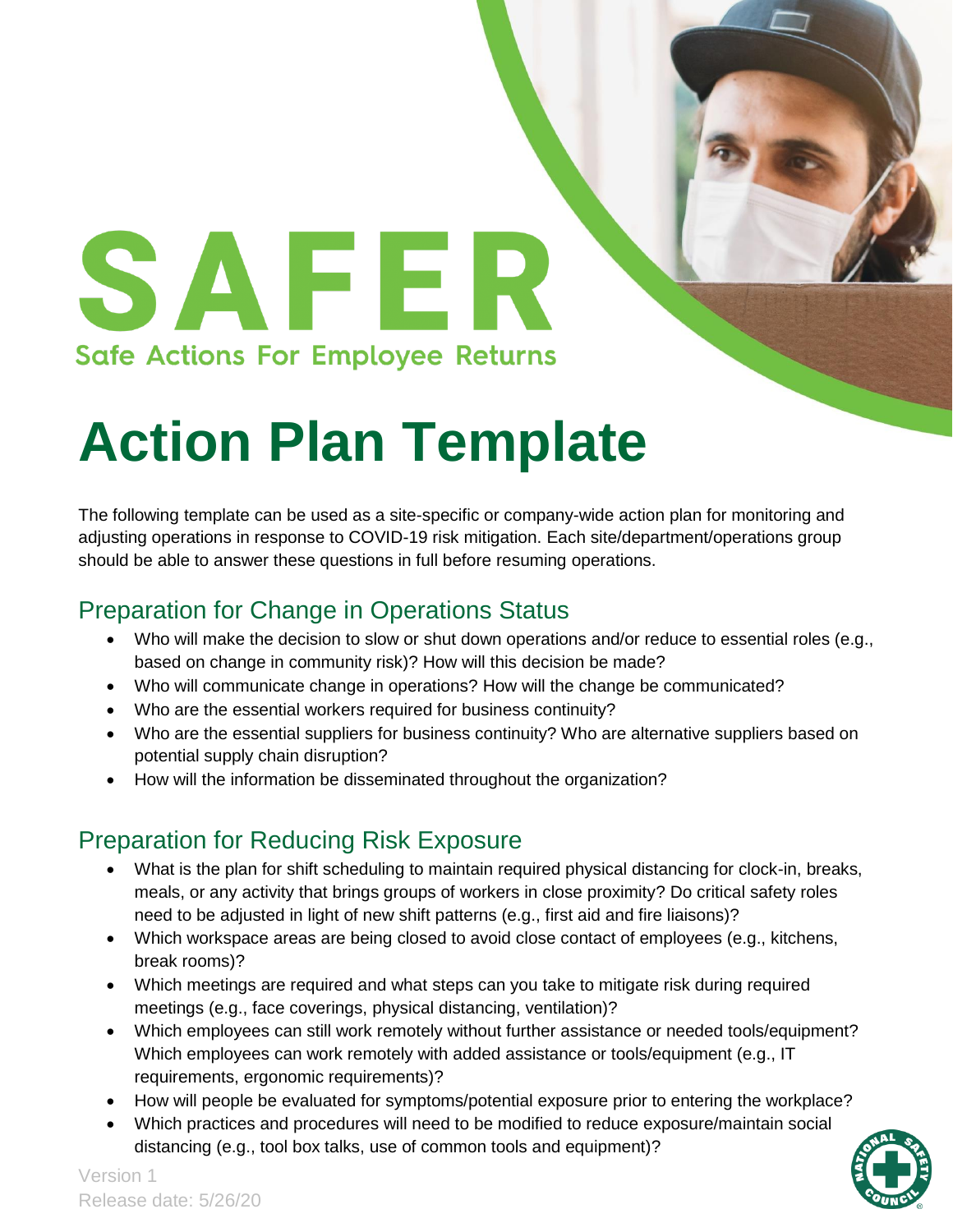SAFER **Safe Actions For Employee Returns** 

# **Action Plan Template**

The following template can be used as a site-specific or company-wide action plan for monitoring and adjusting operations in response to COVID-19 risk mitigation. Each site/department/operations group should be able to answer these questions in full before resuming operations.

### Preparation for Change in Operations Status

- Who will make the decision to slow or shut down operations and/or reduce to essential roles (e.g., based on change in community risk)? How will this decision be made?
- Who will communicate change in operations? How will the change be communicated?
- Who are the essential workers required for business continuity?
- Who are the essential suppliers for business continuity? Who are alternative suppliers based on potential supply chain disruption?
- How will the information be disseminated throughout the organization?

## Preparation for Reducing Risk Exposure

- What is the plan for shift scheduling to maintain required physical distancing for clock-in, breaks, meals, or any activity that brings groups of workers in close proximity? Do critical safety roles need to be adjusted in light of new shift patterns (e.g., first aid and fire liaisons)?
- Which workspace areas are being closed to avoid close contact of employees (e.g., kitchens, break rooms)?
- Which meetings are required and what steps can you take to mitigate risk during required meetings (e.g., face coverings, physical distancing, ventilation)?
- Which employees can still work remotely without further assistance or needed tools/equipment? Which employees can work remotely with added assistance or tools/equipment (e.g., IT requirements, ergonomic requirements)?
- How will people be evaluated for symptoms/potential exposure prior to entering the workplace?
- Which practices and procedures will need to be modified to reduce exposure/maintain social distancing (e.g., tool box talks, use of common tools and equipment)?